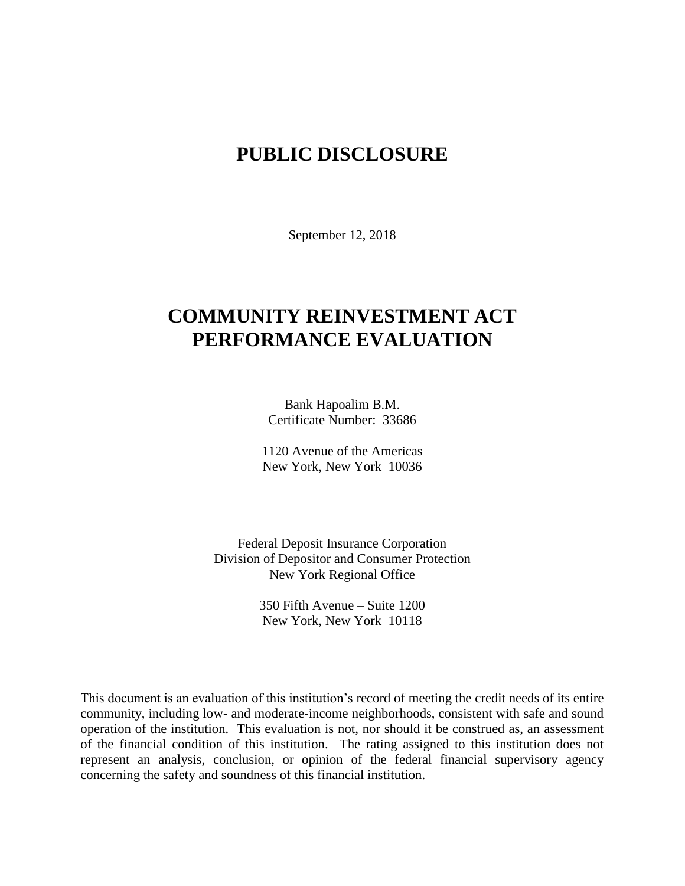# **PUBLIC DISCLOSURE**

September 12, 2018

# **COMMUNITY REINVESTMENT ACT PERFORMANCE EVALUATION**

Bank Hapoalim B.M. Certificate Number: 33686

1120 Avenue of the Americas New York, New York 10036

Federal Deposit Insurance Corporation Division of Depositor and Consumer Protection New York Regional Office

> 350 Fifth Avenue – Suite 1200 New York, New York 10118

This document is an evaluation of this institution's record of meeting the credit needs of its entire community, including low- and moderate-income neighborhoods, consistent with safe and sound operation of the institution.This evaluation is not, nor should it be construed as, an assessment of the financial condition of this institution. The rating assigned to this institution does not represent an analysis, conclusion, or opinion of the federal financial supervisory agency concerning the safety and soundness of this financial institution.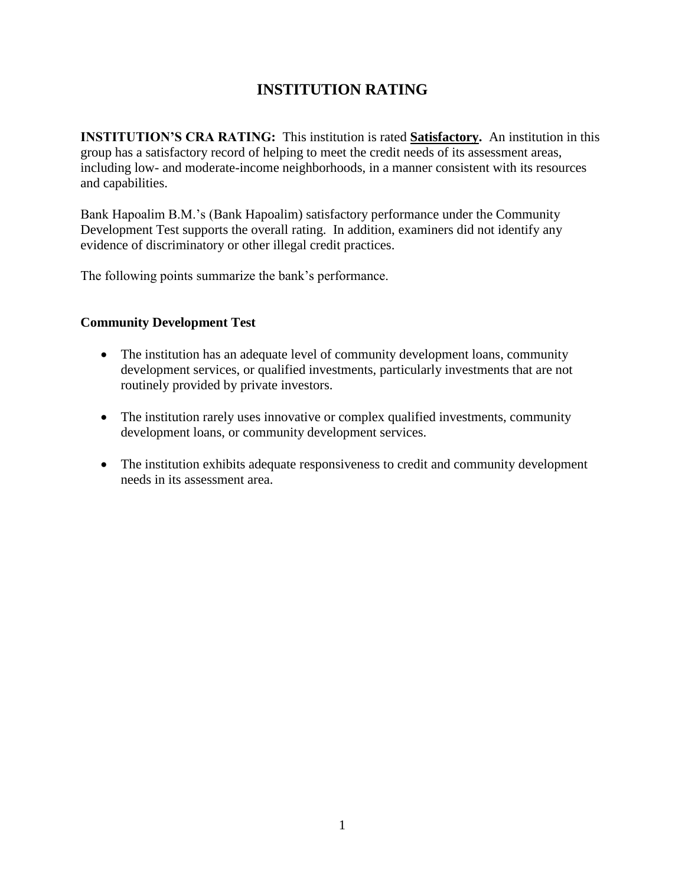## **INSTITUTION RATING**

**INSTITUTION'S CRA RATING:** This institution is rated **Satisfactory.** An institution in this group has a satisfactory record of helping to meet the credit needs of its assessment areas, including low- and moderate-income neighborhoods, in a manner consistent with its resources and capabilities.

Bank Hapoalim B.M.'s (Bank Hapoalim) satisfactory performance under the Community Development Test supports the overall rating. In addition, examiners did not identify any evidence of discriminatory or other illegal credit practices.

The following points summarize the bank's performance.

#### **Community Development Test**

- The institution has an adequate level of community development loans, community development services, or qualified investments, particularly investments that are not routinely provided by private investors.
- The institution rarely uses innovative or complex qualified investments, community development loans, or community development services.
- The institution exhibits adequate responsiveness to credit and community development needs in its assessment area.